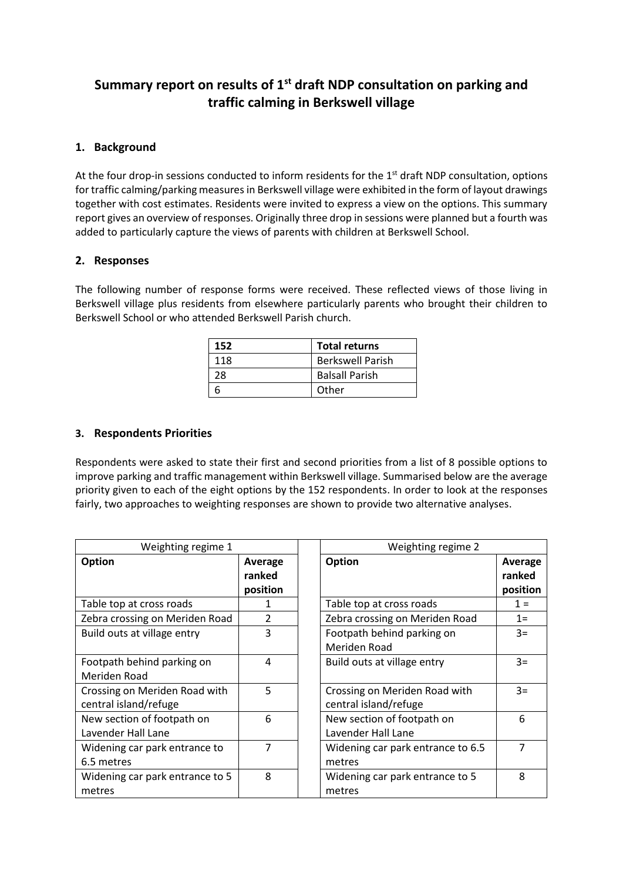# **Summary report on results of 1st draft NDP consultation on parking and traffic calming in Berkswell village**

# **1. Background**

At the four drop-in sessions conducted to inform residents for the  $1<sup>st</sup>$  draft NDP consultation, options for traffic calming/parking measures in Berkswell village were exhibited in the form of layout drawings together with cost estimates. Residents were invited to express a view on the options. This summary report gives an overview of responses. Originally three drop in sessions were planned but a fourth was added to particularly capture the views of parents with children at Berkswell School.

## **2. Responses**

The following number of response forms were received. These reflected views of those living in Berkswell village plus residents from elsewhere particularly parents who brought their children to Berkswell School or who attended Berkswell Parish church.

| 152 | <b>Total returns</b>    |
|-----|-------------------------|
| 118 | <b>Berkswell Parish</b> |
| 28  | <b>Balsall Parish</b>   |
|     | Other                   |

### **3. Respondents Priorities**

Respondents were asked to state their first and second priorities from a list of 8 possible options to improve parking and traffic management within Berkswell village. Summarised below are the average priority given to each of the eight options by the 152 respondents. In order to look at the responses fairly, two approaches to weighting responses are shown to provide two alternative analyses.

| Weighting regime 1              |               |  | Weighting regime 2                |          |
|---------------------------------|---------------|--|-----------------------------------|----------|
| Option                          | Average       |  | Option                            | Average  |
|                                 | ranked        |  |                                   | ranked   |
|                                 | position      |  |                                   | position |
| Table top at cross roads        | 1             |  | Table top at cross roads          | $1 =$    |
| Zebra crossing on Meriden Road  | $\mathcal{P}$ |  | Zebra crossing on Meriden Road    | $1 =$    |
| Build outs at village entry     | 3             |  | Footpath behind parking on        | $3=$     |
|                                 |               |  | Meriden Road                      |          |
| Footpath behind parking on      | 4             |  | Build outs at village entry       | $3=$     |
| Meriden Road                    |               |  |                                   |          |
| Crossing on Meriden Road with   | 5             |  | Crossing on Meriden Road with     | $3=$     |
| central island/refuge           |               |  | central island/refuge             |          |
| New section of footpath on      | 6             |  | New section of footpath on        | 6        |
| Lavender Hall Lane              |               |  | Lavender Hall Lane                |          |
| Widening car park entrance to   | 7             |  | Widening car park entrance to 6.5 | 7        |
| 6.5 metres                      |               |  | metres                            |          |
| Widening car park entrance to 5 | 8             |  | Widening car park entrance to 5   | 8        |
| metres                          |               |  | metres                            |          |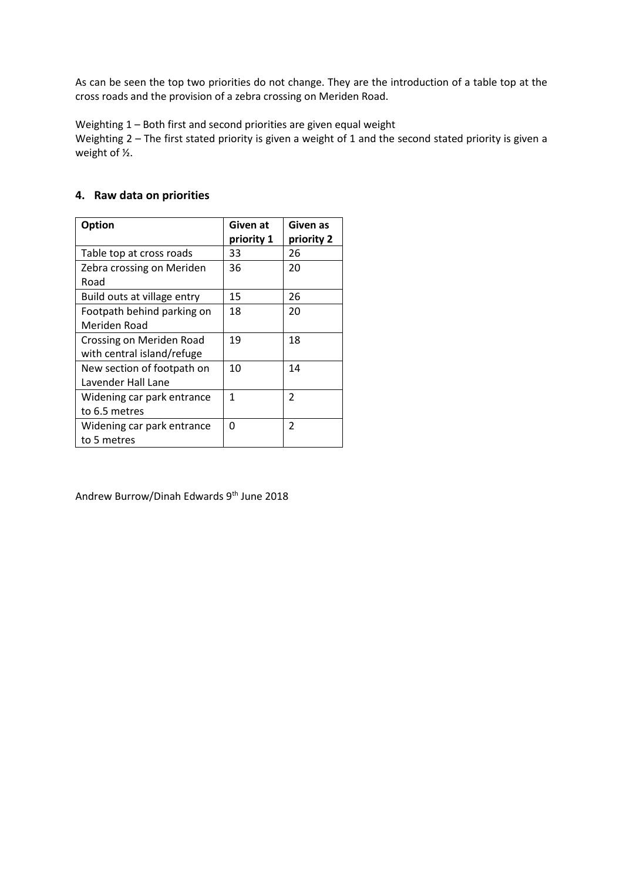As can be seen the top two priorities do not change. They are the introduction of a table top at the cross roads and the provision of a zebra crossing on Meriden Road.

Weighting 1 – Both first and second priorities are given equal weight

Weighting 2 – The first stated priority is given a weight of 1 and the second stated priority is given a weight of ½.

#### **Option Given at priority 1 Given as priority 2** Table top at cross roads | 33 | 26 Zebra crossing on Meriden Road 36 20 Build outs at village entry  $\begin{array}{|c|c|c|c|c|}\n\hline\n15 & 26 \\
\hline\n\end{array}$ Footpath behind parking on Meriden Road 18 20 Crossing on Meriden Road with central island/refuge 19 18 New section of footpath on Lavender Hall Lane 10 14 Widening car park entrance to 6.5 metres 1 2 Widening car park entrance to 5 metres  $0$  | 2

# **4. Raw data on priorities**

Andrew Burrow/Dinah Edwards 9th June 2018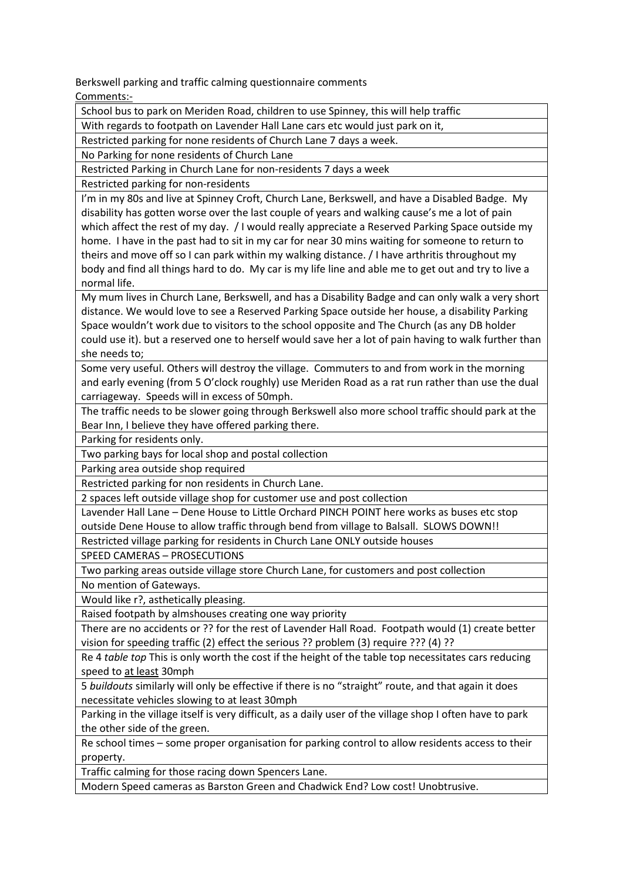Berkswell parking and traffic calming questionnaire comments Comments:-

School bus to park on Meriden Road, children to use Spinney, this will help traffic

With regards to footpath on Lavender Hall Lane cars etc would just park on it,

Restricted parking for none residents of Church Lane 7 days a week.

No Parking for none residents of Church Lane

Restricted Parking in Church Lane for non-residents 7 days a week

Restricted parking for non-residents

I'm in my 80s and live at Spinney Croft, Church Lane, Berkswell, and have a Disabled Badge. My disability has gotten worse over the last couple of years and walking cause's me a lot of pain which affect the rest of my day. / I would really appreciate a Reserved Parking Space outside my home. I have in the past had to sit in my car for near 30 mins waiting for someone to return to theirs and move off so I can park within my walking distance. / I have arthritis throughout my body and find all things hard to do. My car is my life line and able me to get out and try to live a normal life.

My mum lives in Church Lane, Berkswell, and has a Disability Badge and can only walk a very short distance. We would love to see a Reserved Parking Space outside her house, a disability Parking Space wouldn't work due to visitors to the school opposite and The Church (as any DB holder could use it). but a reserved one to herself would save her a lot of pain having to walk further than she needs to;

Some very useful. Others will destroy the village. Commuters to and from work in the morning and early evening (from 5 O'clock roughly) use Meriden Road as a rat run rather than use the dual carriageway. Speeds will in excess of 50mph.

The traffic needs to be slower going through Berkswell also more school traffic should park at the Bear Inn, I believe they have offered parking there.

Parking for residents only.

Two parking bays for local shop and postal collection

Parking area outside shop required

Restricted parking for non residents in Church Lane.

2 spaces left outside village shop for customer use and post collection

Lavender Hall Lane – Dene House to Little Orchard PINCH POINT here works as buses etc stop outside Dene House to allow traffic through bend from village to Balsall. SLOWS DOWN!!

Restricted village parking for residents in Church Lane ONLY outside houses

SPEED CAMERAS – PROSECUTIONS

Two parking areas outside village store Church Lane, for customers and post collection No mention of Gateways.

Would like r?, asthetically pleasing.

Raised footpath by almshouses creating one way priority

There are no accidents or ?? for the rest of Lavender Hall Road. Footpath would (1) create better vision for speeding traffic (2) effect the serious ?? problem (3) require ??? (4) ??

Re 4 *table top* This is only worth the cost if the height of the table top necessitates cars reducing speed to at least 30mph

5 *buildouts* similarly will only be effective if there is no "straight" route, and that again it does necessitate vehicles slowing to at least 30mph

Parking in the village itself is very difficult, as a daily user of the village shop I often have to park the other side of the green.

Re school times – some proper organisation for parking control to allow residents access to their property.

Traffic calming for those racing down Spencers Lane.

Modern Speed cameras as Barston Green and Chadwick End? Low cost! Unobtrusive.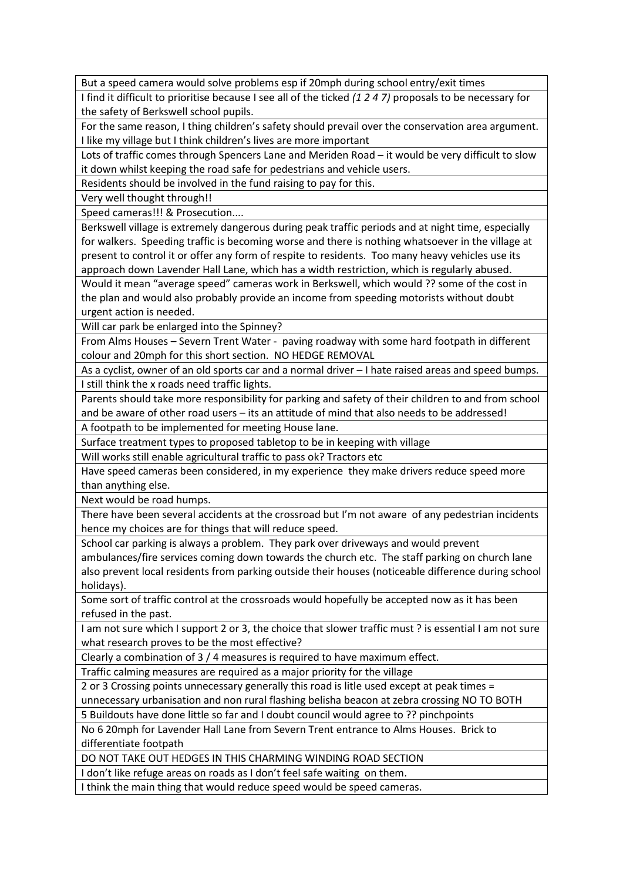But a speed camera would solve problems esp if 20mph during school entry/exit times

I find it difficult to prioritise because I see all of the ticked *(1 2 4 7)* proposals to be necessary for the safety of Berkswell school pupils.

For the same reason, I thing children's safety should prevail over the conservation area argument. I like my village but I think children's lives are more important

Lots of traffic comes through Spencers Lane and Meriden Road – it would be very difficult to slow it down whilst keeping the road safe for pedestrians and vehicle users.

Residents should be involved in the fund raising to pay for this.

Very well thought through!!

Speed cameras!!! & Prosecution....

Berkswell village is extremely dangerous during peak traffic periods and at night time, especially for walkers. Speeding traffic is becoming worse and there is nothing whatsoever in the village at present to control it or offer any form of respite to residents. Too many heavy vehicles use its approach down Lavender Hall Lane, which has a width restriction, which is regularly abused.

Would it mean "average speed" cameras work in Berkswell, which would ?? some of the cost in the plan and would also probably provide an income from speeding motorists without doubt urgent action is needed.

Will car park be enlarged into the Spinney?

From Alms Houses – Severn Trent Water - paving roadway with some hard footpath in different colour and 20mph for this short section. NO HEDGE REMOVAL

As a cyclist, owner of an old sports car and a normal driver – I hate raised areas and speed bumps. I still think the x roads need traffic lights.

Parents should take more responsibility for parking and safety of their children to and from school and be aware of other road users – its an attitude of mind that also needs to be addressed!

A footpath to be implemented for meeting House lane.

Surface treatment types to proposed tabletop to be in keeping with village

Will works still enable agricultural traffic to pass ok? Tractors etc

Have speed cameras been considered, in my experience they make drivers reduce speed more than anything else.

Next would be road humps.

There have been several accidents at the crossroad but I'm not aware of any pedestrian incidents hence my choices are for things that will reduce speed.

School car parking is always a problem. They park over driveways and would prevent

ambulances/fire services coming down towards the church etc. The staff parking on church lane also prevent local residents from parking outside their houses (noticeable difference during school holidays).

Some sort of traffic control at the crossroads would hopefully be accepted now as it has been refused in the past.

I am not sure which I support 2 or 3, the choice that slower traffic must ? is essential I am not sure what research proves to be the most effective?

Clearly a combination of 3 / 4 measures is required to have maximum effect.

Traffic calming measures are required as a major priority for the village

2 or 3 Crossing points unnecessary generally this road is litle used except at peak times =

unnecessary urbanisation and non rural flashing belisha beacon at zebra crossing NO TO BOTH

5 Buildouts have done little so far and I doubt council would agree to ?? pinchpoints

No 6 20mph for Lavender Hall Lane from Severn Trent entrance to Alms Houses. Brick to differentiate footpath

DO NOT TAKE OUT HEDGES IN THIS CHARMING WINDING ROAD SECTION

I don't like refuge areas on roads as I don't feel safe waiting on them.

I think the main thing that would reduce speed would be speed cameras.